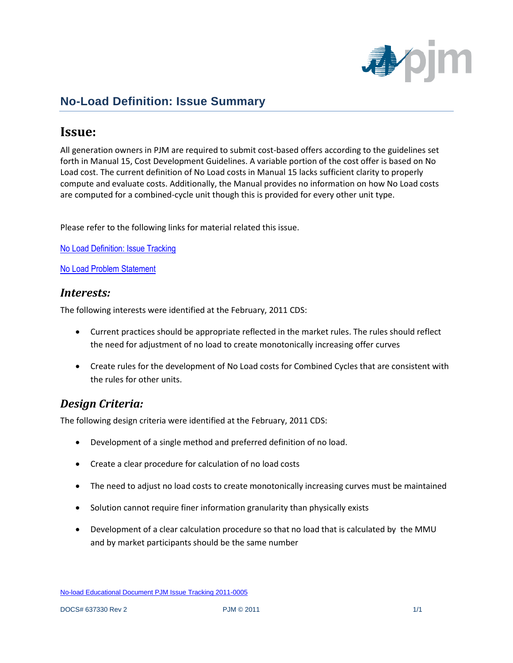

# **No-Load Definition: Issue Summary**

## **Issue:**

All generation owners in PJM are required to submit cost-based offers according to the guidelines set forth in Manual 15, Cost Development Guidelines. A variable portion of the cost offer is based on No Load cost. The current definition of No Load costs in Manual 15 lacks sufficient clarity to properly compute and evaluate costs. Additionally, the Manual provides no information on how No Load costs are computed for a combined-cycle unit though this is provided for every other unit type.

Please refer to the following links for material related this issue.

[No Load Definition: Issue Tracking](http://pjm.com/committees-and-groups/issue-tracking/issue-tracking-details.aspx?Issue=%7bB4390F49-FB83-4790-B1E7-89EF1844E073%7d)

[No Load Problem Statement](http://pjm.com/~/media/committees-groups/committees/mrc/20110216/20110216-item-13f-cds-no-load-problem-statement.ashx)

#### *Interests:*

The following interests were identified at the February, 2011 CDS:

- Current practices should be appropriate reflected in the market rules. The rules should reflect the need for adjustment of no load to create monotonically increasing offer curves
- Create rules for the development of No Load costs for Combined Cycles that are consistent with the rules for other units.

### *Design Criteria:*

The following design criteria were identified at the February, 2011 CDS:

- Development of a single method and preferred definition of no load.
- Create a clear procedure for calculation of no load costs
- The need to adjust no load costs to create monotonically increasing curves must be maintained
- Solution cannot require finer information granularity than physically exists
- Development of a clear calculation procedure so that no load that is calculated by the MMU and by market participants should be the same number

No-load Educational Document PJM Issue Tracking 2011-0005